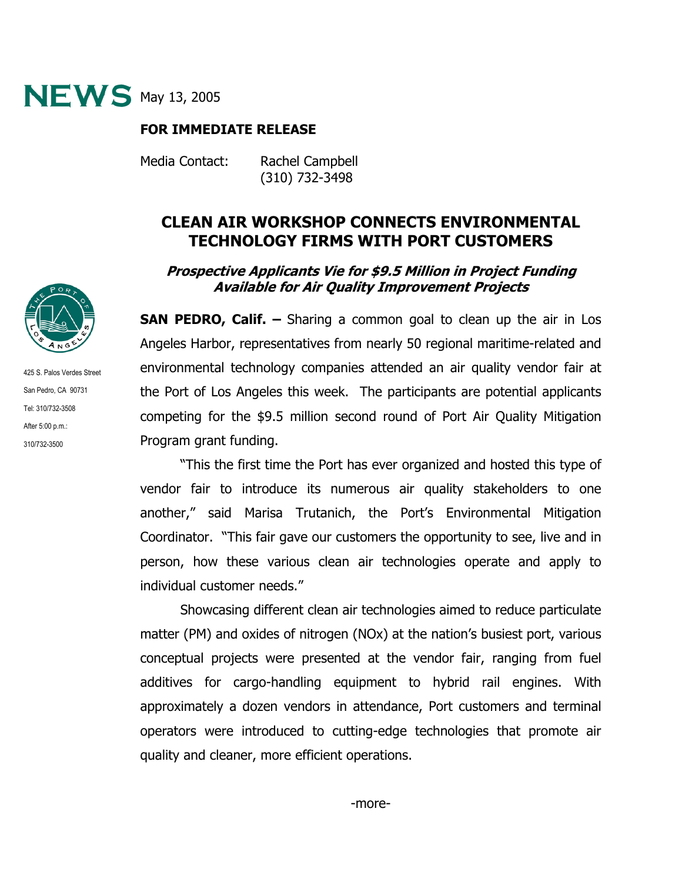

## **FOR IMMEDIATE RELEASE**

Media Contact: Rachel Campbell

(310) 732-3498

## **CLEAN AIR WORKSHOP CONNECTS ENVIRONMENTAL TECHNOLOGY FIRMS WITH PORT CUSTOMERS**

## **Prospective Applicants Vie for \$9.5 Million in Project Funding Available for Air Quality Improvement Projects**

**SAN PEDRO, Calif. –** Sharing a common goal to clean up the air in Los Angeles Harbor, representatives from nearly 50 regional maritime-related and environmental technology companies attended an air quality vendor fair at the Port of Los Angeles this week. The participants are potential applicants competing for the \$9.5 million second round of Port Air Quality Mitigation Program grant funding.

"This the first time the Port has ever organized and hosted this type of vendor fair to introduce its numerous air quality stakeholders to one another," said Marisa Trutanich, the Port's Environmental Mitigation Coordinator. "This fair gave our customers the opportunity to see, live and in person, how these various clean air technologies operate and apply to individual customer needs."

Showcasing different clean air technologies aimed to reduce particulate matter (PM) and oxides of nitrogen (NOx) at the nation's busiest port, various conceptual projects were presented at the vendor fair, ranging from fuel additives for cargo-handling equipment to hybrid rail engines. With approximately a dozen vendors in attendance, Port customers and terminal operators were introduced to cutting-edge technologies that promote air quality and cleaner, more efficient operations.



425 S. Palos Verdes Street San Pedro, CA 90731 Tel: 310/732-3508 After 5:00 p.m.: 310/732-3500